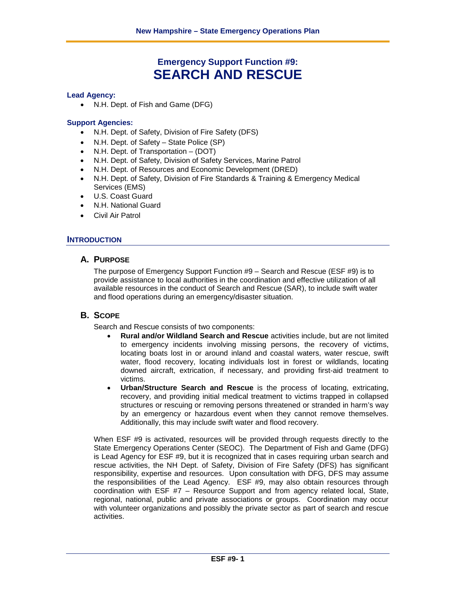# **Emergency Support Function #9: SEARCH AND RESCUE**

#### **Lead Agency:**

• N.H. Dept. of Fish and Game (DFG)

#### **Support Agencies:**

- N.H. Dept. of Safety, Division of Fire Safety (DFS)
- N.H. Dept. of Safety State Police (SP)
- N.H. Dept. of Transportation (DOT)
- N.H. Dept. of Safety, Division of Safety Services, Marine Patrol
- N.H. Dept. of Resources and Economic Development (DRED)
- N.H. Dept. of Safety, Division of Fire Standards & Training & Emergency Medical Services (EMS)
- U.S. Coast Guard
- N.H. National Guard
- Civil Air Patrol

### **INTRODUCTION**

# **A. PURPOSE**

The purpose of Emergency Support Function #9 – Search and Rescue (ESF #9) is to provide assistance to local authorities in the coordination and effective utilization of all available resources in the conduct of Search and Rescue (SAR), to include swift water and flood operations during an emergency/disaster situation.

### **B. SCOPE**

Search and Rescue consists of two components:

- **Rural and/or Wildland Search and Rescue** activities include, but are not limited to emergency incidents involving missing persons, the recovery of victims, locating boats lost in or around inland and coastal waters, water rescue, swift water, flood recovery, locating individuals lost in forest or wildlands, locating downed aircraft, extrication, if necessary, and providing first-aid treatment to victims.
- **Urban/Structure Search and Rescue** is the process of locating, extricating, recovery, and providing initial medical treatment to victims trapped in collapsed structures or rescuing or removing persons threatened or stranded in harm's way by an emergency or hazardous event when they cannot remove themselves. Additionally, this may include swift water and flood recovery.

When ESF #9 is activated, resources will be provided through requests directly to the State Emergency Operations Center (SEOC). The Department of Fish and Game (DFG) is Lead Agency for ESF #9, but it is recognized that in cases requiring urban search and rescue activities, the NH Dept. of Safety, Division of Fire Safety (DFS) has significant responsibility, expertise and resources. Upon consultation with DFG, DFS may assume the responsibilities of the Lead Agency. ESF #9, may also obtain resources through coordination with ESF #7 – Resource Support and from agency related local, State, regional, national, public and private associations or groups. Coordination may occur with volunteer organizations and possibly the private sector as part of search and rescue activities.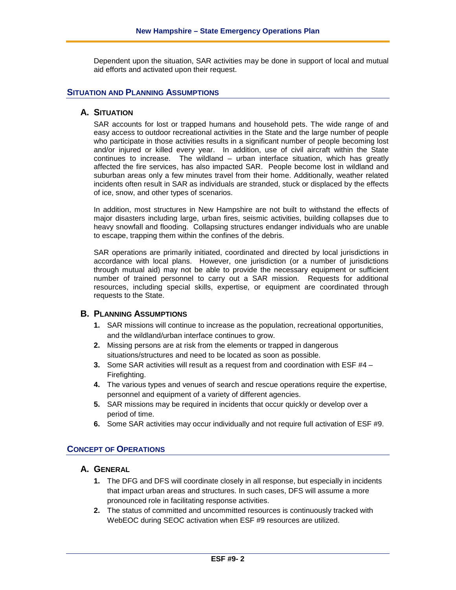Dependent upon the situation, SAR activities may be done in support of local and mutual aid efforts and activated upon their request.

### **SITUATION AND PLANNING ASSUMPTIONS**

#### **A. SITUATION**

SAR accounts for lost or trapped humans and household pets. The wide range of and easy access to outdoor recreational activities in the State and the large number of people who participate in those activities results in a significant number of people becoming lost and/or injured or killed every year. In addition, use of civil aircraft within the State continues to increase. The wildland – urban interface situation, which has greatly affected the fire services, has also impacted SAR. People become lost in wildland and suburban areas only a few minutes travel from their home. Additionally, weather related incidents often result in SAR as individuals are stranded, stuck or displaced by the effects of ice, snow, and other types of scenarios.

In addition, most structures in New Hampshire are not built to withstand the effects of major disasters including large, urban fires, seismic activities, building collapses due to heavy snowfall and flooding. Collapsing structures endanger individuals who are unable to escape, trapping them within the confines of the debris.

SAR operations are primarily initiated, coordinated and directed by local jurisdictions in accordance with local plans. However, one jurisdiction (or a number of jurisdictions through mutual aid) may not be able to provide the necessary equipment or sufficient number of trained personnel to carry out a SAR mission. Requests for additional resources, including special skills, expertise, or equipment are coordinated through requests to the State.

### **B. PLANNING ASSUMPTIONS**

- **1.** SAR missions will continue to increase as the population, recreational opportunities, and the wildland/urban interface continues to grow.
- **2.** Missing persons are at risk from the elements or trapped in dangerous situations/structures and need to be located as soon as possible.
- **3.** Some SAR activities will result as a request from and coordination with ESF #4 Firefighting.
- **4.** The various types and venues of search and rescue operations require the expertise, personnel and equipment of a variety of different agencies.
- **5.** SAR missions may be required in incidents that occur quickly or develop over a period of time.
- **6.** Some SAR activities may occur individually and not require full activation of ESF #9.

#### **CONCEPT OF OPERATIONS**

# **A. GENERAL**

- **1.** The DFG and DFS will coordinate closely in all response, but especially in incidents that impact urban areas and structures. In such cases, DFS will assume a more pronounced role in facilitating response activities.
- **2.** The status of committed and uncommitted resources is continuously tracked with WebEOC during SEOC activation when ESF #9 resources are utilized.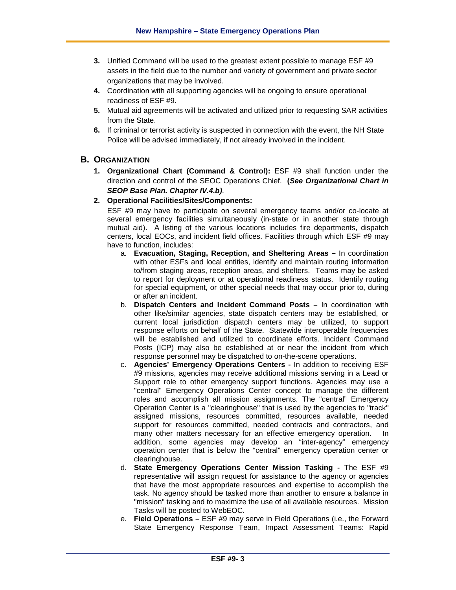- **3.** Unified Command will be used to the greatest extent possible to manage ESF #9 assets in the field due to the number and variety of government and private sector organizations that may be involved.
- **4.** Coordination with all supporting agencies will be ongoing to ensure operational readiness of ESF #9.
- **5.** Mutual aid agreements will be activated and utilized prior to requesting SAR activities from the State.
- **6.** If criminal or terrorist activity is suspected in connection with the event, the NH State Police will be advised immediately, if not already involved in the incident.

### **B. ORGANIZATION**

- **1. Organizational Chart (Command & Control):** ESF #9 shall function under the direction and control of the SEOC Operations Chief. **(***See Organizational Chart in SEOP Base Plan. Chapter IV.4.b)*.
- **2. Operational Facilities/Sites/Components:**

ESF #9 may have to participate on several emergency teams and/or co-locate at several emergency facilities simultaneously (in-state or in another state through mutual aid). A listing of the various locations includes fire departments, dispatch centers, local EOCs, and incident field offices. Facilities through which ESF #9 may have to function, includes:

- a. **Evacuation, Staging, Reception, and Sheltering Areas –** In coordination with other ESFs and local entities, identify and maintain routing information to/from staging areas, reception areas, and shelters. Teams may be asked to report for deployment or at operational readiness status. Identify routing for special equipment, or other special needs that may occur prior to, during or after an incident.
- b. **Dispatch Centers and Incident Command Posts –** In coordination with other like/similar agencies, state dispatch centers may be established, or current local jurisdiction dispatch centers may be utilized, to support response efforts on behalf of the State. Statewide interoperable frequencies will be established and utilized to coordinate efforts. Incident Command Posts (ICP) may also be established at or near the incident from which response personnel may be dispatched to on-the-scene operations.
- c. **Agencies' Emergency Operations Centers -** In addition to receiving ESF #9 missions, agencies may receive additional missions serving in a Lead or Support role to other emergency support functions. Agencies may use a "central" Emergency Operations Center concept to manage the different roles and accomplish all mission assignments. The "central" Emergency Operation Center is a "clearinghouse" that is used by the agencies to "track" assigned missions, resources committed, resources available, needed support for resources committed, needed contracts and contractors, and many other matters necessary for an effective emergency operation. In addition, some agencies may develop an "inter-agency" emergency operation center that is below the "central" emergency operation center or clearinghouse.
- d. **State Emergency Operations Center Mission Tasking -** The ESF #9 representative will assign request for assistance to the agency or agencies that have the most appropriate resources and expertise to accomplish the task. No agency should be tasked more than another to ensure a balance in "mission" tasking and to maximize the use of all available resources. Mission Tasks will be posted to WebEOC.
- e. **Field Operations –** ESF #9 may serve in Field Operations (i.e., the Forward State Emergency Response Team, Impact Assessment Teams: Rapid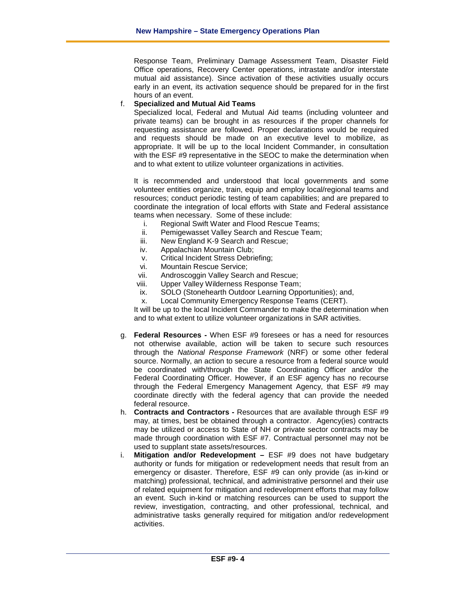Response Team, Preliminary Damage Assessment Team, Disaster Field Office operations, Recovery Center operations, intrastate and/or interstate mutual aid assistance). Since activation of these activities usually occurs early in an event, its activation sequence should be prepared for in the first hours of an event.

#### f. **Specialized and Mutual Aid Teams**

Specialized local, Federal and Mutual Aid teams (including volunteer and private teams) can be brought in as resources if the proper channels for requesting assistance are followed. Proper declarations would be required and requests should be made on an executive level to mobilize, as appropriate. It will be up to the local Incident Commander, in consultation with the ESF #9 representative in the SEOC to make the determination when and to what extent to utilize volunteer organizations in activities.

It is recommended and understood that local governments and some volunteer entities organize, train, equip and employ local/regional teams and resources; conduct periodic testing of team capabilities; and are prepared to coordinate the integration of local efforts with State and Federal assistance teams when necessary. Some of these include:

- i. Regional Swift Water and Flood Rescue Teams;
- ii. Pemigewasset Valley Search and Rescue Team;
- iii. New England K-9 Search and Rescue;
- iv. Appalachian Mountain Club;
- v. Critical Incident Stress Debriefing;
- vi. Mountain Rescue Service;
- vii. Androscoggin Valley Search and Rescue;
- viii. Upper Valley Wilderness Response Team;
- ix. SOLO (Stonehearth Outdoor Learning Opportunities); and,
- x. Local Community Emergency Response Teams (CERT).

It will be up to the local Incident Commander to make the determination when and to what extent to utilize volunteer organizations in SAR activities.

- g. **Federal Resources -** When ESF #9 foresees or has a need for resources not otherwise available, action will be taken to secure such resources through the *National Response Framework* (NRF) or some other federal source. Normally, an action to secure a resource from a federal source would be coordinated with/through the State Coordinating Officer and/or the Federal Coordinating Officer. However, if an ESF agency has no recourse through the Federal Emergency Management Agency, that ESF #9 may coordinate directly with the federal agency that can provide the needed federal resource.
- h. **Contracts and Contractors -** Resources that are available through ESF #9 may, at times, best be obtained through a contractor. Agency(ies) contracts may be utilized or access to State of NH or private sector contracts may be made through coordination with ESF #7. Contractual personnel may not be used to supplant state assets/resources.
- i. **Mitigation and/or Redevelopment –** ESF #9 does not have budgetary authority or funds for mitigation or redevelopment needs that result from an emergency or disaster. Therefore, ESF #9 can only provide (as in-kind or matching) professional, technical, and administrative personnel and their use of related equipment for mitigation and redevelopment efforts that may follow an event. Such in-kind or matching resources can be used to support the review, investigation, contracting, and other professional, technical, and administrative tasks generally required for mitigation and/or redevelopment activities.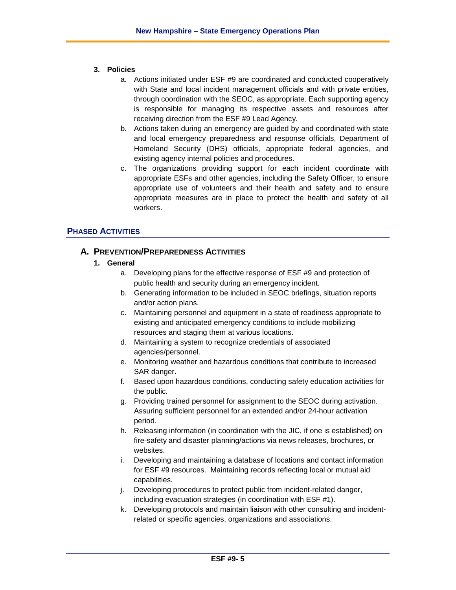#### **3. Policies**

- a. Actions initiated under ESF #9 are coordinated and conducted cooperatively with State and local incident management officials and with private entities, through coordination with the SEOC, as appropriate. Each supporting agency is responsible for managing its respective assets and resources after receiving direction from the ESF #9 Lead Agency.
- b. Actions taken during an emergency are guided by and coordinated with state and local emergency preparedness and response officials, Department of Homeland Security (DHS) officials, appropriate federal agencies, and existing agency internal policies and procedures.
- c. The organizations providing support for each incident coordinate with appropriate ESFs and other agencies, including the Safety Officer, to ensure appropriate use of volunteers and their health and safety and to ensure appropriate measures are in place to protect the health and safety of all workers.

# **PHASED ACTIVITIES**

# **A. PREVENTION/PREPAREDNESS ACTIVITIES**

#### **1. General**

- a. Developing plans for the effective response of ESF #9 and protection of public health and security during an emergency incident.
- b. Generating information to be included in SEOC briefings, situation reports and/or action plans.
- c. Maintaining personnel and equipment in a state of readiness appropriate to existing and anticipated emergency conditions to include mobilizing resources and staging them at various locations.
- d. Maintaining a system to recognize credentials of associated agencies/personnel.
- e. Monitoring weather and hazardous conditions that contribute to increased SAR danger.
- f. Based upon hazardous conditions, conducting safety education activities for the public.
- g. Providing trained personnel for assignment to the SEOC during activation. Assuring sufficient personnel for an extended and/or 24-hour activation period.
- h. Releasing information (in coordination with the JIC, if one is established) on fire-safety and disaster planning/actions via news releases, brochures, or websites.
- i. Developing and maintaining a database of locations and contact information for ESF #9 resources. Maintaining records reflecting local or mutual aid capabilities.
- j. Developing procedures to protect public from incident-related danger, including evacuation strategies (in coordination with ESF #1).
- k. Developing protocols and maintain liaison with other consulting and incidentrelated or specific agencies, organizations and associations.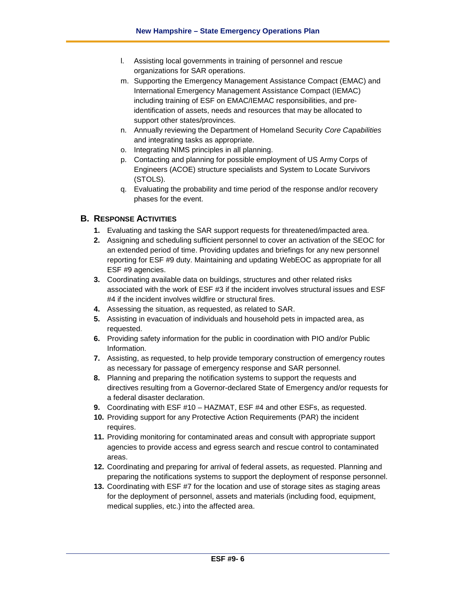- l. Assisting local governments in training of personnel and rescue organizations for SAR operations.
- m. Supporting the Emergency Management Assistance Compact (EMAC) and International Emergency Management Assistance Compact (IEMAC) including training of ESF on EMAC/IEMAC responsibilities, and preidentification of assets, needs and resources that may be allocated to support other states/provinces.
- n. Annually reviewing the Department of Homeland Security *Core Capabilities*  and integrating tasks as appropriate.
- o. Integrating NIMS principles in all planning.
- p. Contacting and planning for possible employment of US Army Corps of Engineers (ACOE) structure specialists and System to Locate Survivors (STOLS).
- q. Evaluating the probability and time period of the response and/or recovery phases for the event.

# **B. RESPONSE ACTIVITIES**

- **1.** Evaluating and tasking the SAR support requests for threatened/impacted area.
- **2.** Assigning and scheduling sufficient personnel to cover an activation of the SEOC for an extended period of time. Providing updates and briefings for any new personnel reporting for ESF #9 duty. Maintaining and updating WebEOC as appropriate for all ESF #9 agencies.
- **3.** Coordinating available data on buildings, structures and other related risks associated with the work of ESF #3 if the incident involves structural issues and ESF #4 if the incident involves wildfire or structural fires.
- **4.** Assessing the situation, as requested, as related to SAR.
- **5.** Assisting in evacuation of individuals and household pets in impacted area, as requested.
- **6.** Providing safety information for the public in coordination with PIO and/or Public Information.
- **7.** Assisting, as requested, to help provide temporary construction of emergency routes as necessary for passage of emergency response and SAR personnel.
- **8.** Planning and preparing the notification systems to support the requests and directives resulting from a Governor-declared State of Emergency and/or requests for a federal disaster declaration.
- **9.** Coordinating with ESF #10 HAZMAT, ESF #4 and other ESFs, as requested.
- **10.** Providing support for any Protective Action Requirements (PAR) the incident requires.
- **11.** Providing monitoring for contaminated areas and consult with appropriate support agencies to provide access and egress search and rescue control to contaminated areas.
- **12.** Coordinating and preparing for arrival of federal assets, as requested. Planning and preparing the notifications systems to support the deployment of response personnel.
- **13.** Coordinating with ESF #7 for the location and use of storage sites as staging areas for the deployment of personnel, assets and materials (including food, equipment, medical supplies, etc.) into the affected area.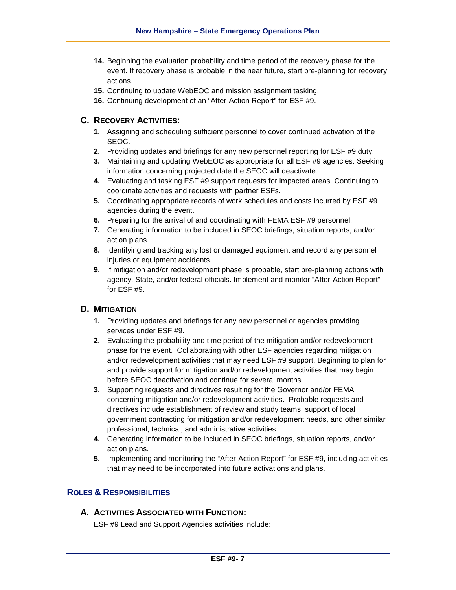- **14.** Beginning the evaluation probability and time period of the recovery phase for the event. If recovery phase is probable in the near future, start pre-planning for recovery actions.
- **15.** Continuing to update WebEOC and mission assignment tasking.
- **16.** Continuing development of an "After-Action Report" for ESF #9.

# **C. RECOVERY ACTIVITIES:**

- **1.** Assigning and scheduling sufficient personnel to cover continued activation of the SEOC.
- **2.** Providing updates and briefings for any new personnel reporting for ESF #9 duty.
- **3.** Maintaining and updating WebEOC as appropriate for all ESF #9 agencies. Seeking information concerning projected date the SEOC will deactivate.
- **4.** Evaluating and tasking ESF #9 support requests for impacted areas. Continuing to coordinate activities and requests with partner ESFs.
- **5.** Coordinating appropriate records of work schedules and costs incurred by ESF #9 agencies during the event.
- **6.** Preparing for the arrival of and coordinating with FEMA ESF #9 personnel.
- **7.** Generating information to be included in SEOC briefings, situation reports, and/or action plans.
- **8.** Identifying and tracking any lost or damaged equipment and record any personnel injuries or equipment accidents.
- **9.** If mitigation and/or redevelopment phase is probable, start pre-planning actions with agency, State, and/or federal officials. Implement and monitor "After-Action Report" for ESF #9.

### **D. MITIGATION**

- **1.** Providing updates and briefings for any new personnel or agencies providing services under ESF #9.
- **2.** Evaluating the probability and time period of the mitigation and/or redevelopment phase for the event. Collaborating with other ESF agencies regarding mitigation and/or redevelopment activities that may need ESF #9 support. Beginning to plan for and provide support for mitigation and/or redevelopment activities that may begin before SEOC deactivation and continue for several months.
- **3.** Supporting requests and directives resulting for the Governor and/or FEMA concerning mitigation and/or redevelopment activities. Probable requests and directives include establishment of review and study teams, support of local government contracting for mitigation and/or redevelopment needs, and other similar professional, technical, and administrative activities.
- **4.** Generating information to be included in SEOC briefings, situation reports, and/or action plans.
- **5.** Implementing and monitoring the "After-Action Report" for ESF #9, including activities that may need to be incorporated into future activations and plans.

### **ROLES & RESPONSIBILITIES**

# **A. ACTIVITIES ASSOCIATED WITH FUNCTION:**

ESF #9 Lead and Support Agencies activities include: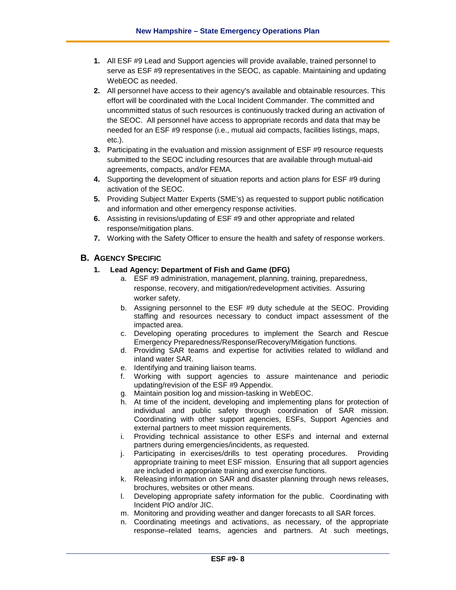- **1.** All ESF #9 Lead and Support agencies will provide available, trained personnel to serve as ESF #9 representatives in the SEOC, as capable. Maintaining and updating WebEOC as needed.
- **2.** All personnel have access to their agency's available and obtainable resources. This effort will be coordinated with the Local Incident Commander. The committed and uncommitted status of such resources is continuously tracked during an activation of the SEOC. All personnel have access to appropriate records and data that may be needed for an ESF #9 response (i.e., mutual aid compacts, facilities listings, maps, etc.).
- **3.** Participating in the evaluation and mission assignment of ESF #9 resource requests submitted to the SEOC including resources that are available through mutual-aid agreements, compacts, and/or FEMA.
- **4.** Supporting the development of situation reports and action plans for ESF #9 during activation of the SEOC.
- **5.** Providing Subject Matter Experts (SME's) as requested to support public notification and information and other emergency response activities.
- **6.** Assisting in revisions/updating of ESF #9 and other appropriate and related response/mitigation plans.
- **7.** Working with the Safety Officer to ensure the health and safety of response workers.

# **B. AGENCY SPECIFIC**

### **1. Lead Agency: Department of Fish and Game (DFG)**

- a. ESF #9 administration, management, planning, training, preparedness, response, recovery, and mitigation/redevelopment activities. Assuring worker safety.
- b. Assigning personnel to the ESF #9 duty schedule at the SEOC. Providing staffing and resources necessary to conduct impact assessment of the impacted area.
- c. Developing operating procedures to implement the Search and Rescue Emergency Preparedness/Response/Recovery/Mitigation functions.
- d. Providing SAR teams and expertise for activities related to wildland and inland water SAR.
- e. Identifying and training liaison teams.
- f. Working with support agencies to assure maintenance and periodic updating/revision of the ESF #9 Appendix.
- g. Maintain position log and mission-tasking in WebEOC.
- h. At time of the incident, developing and implementing plans for protection of individual and public safety through coordination of SAR mission. Coordinating with other support agencies, ESFs, Support Agencies and external partners to meet mission requirements.
- i. Providing technical assistance to other ESFs and internal and external partners during emergencies/incidents, as requested.
- j. Participating in exercises/drills to test operating procedures. Providing appropriate training to meet ESF mission. Ensuring that all support agencies are included in appropriate training and exercise functions.
- k. Releasing information on SAR and disaster planning through news releases, brochures, websites or other means.
- l. Developing appropriate safety information for the public. Coordinating with Incident PIO and/or JIC.
- m. Monitoring and providing weather and danger forecasts to all SAR forces.
- n. Coordinating meetings and activations, as necessary, of the appropriate response–related teams, agencies and partners. At such meetings,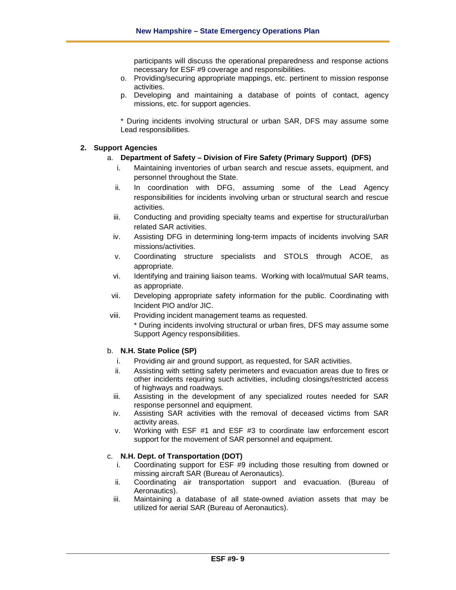participants will discuss the operational preparedness and response actions necessary for ESF #9 coverage and responsibilities.

- o. Providing/securing appropriate mappings, etc. pertinent to mission response activities.
- p. Developing and maintaining a database of points of contact, agency missions, etc. for support agencies.

\* During incidents involving structural or urban SAR, DFS may assume some Lead responsibilities.

#### **2. Support Agencies**

#### a. **Department of Safety – Division of Fire Safety (Primary Support) (DFS)**

- i. Maintaining inventories of urban search and rescue assets, equipment, and personnel throughout the State.
- ii. In coordination with DFG, assuming some of the Lead Agency responsibilities for incidents involving urban or structural search and rescue activities.
- iii. Conducting and providing specialty teams and expertise for structural/urban related SAR activities.
- iv. Assisting DFG in determining long-term impacts of incidents involving SAR missions/activities.
- v. Coordinating structure specialists and STOLS through ACOE, as appropriate.
- vi. Identifying and training liaison teams. Working with local/mutual SAR teams, as appropriate.
- vii. Developing appropriate safety information for the public. Coordinating with Incident PIO and/or JIC.
- viii. Providing incident management teams as requested.
	- \* During incidents involving structural or urban fires, DFS may assume some Support Agency responsibilities.

#### b. **N.H. State Police (SP)**

- i. Providing air and ground support, as requested, for SAR activities.
- ii. Assisting with setting safety perimeters and evacuation areas due to fires or other incidents requiring such activities, including closings/restricted access of highways and roadways.
- iii. Assisting in the development of any specialized routes needed for SAR response personnel and equipment.
- iv. Assisting SAR activities with the removal of deceased victims from SAR activity areas.
- v. Working with ESF #1 and ESF #3 to coordinate law enforcement escort support for the movement of SAR personnel and equipment.

#### c. **N.H. Dept. of Transportation (DOT)**

- i. Coordinating support for ESF #9 including those resulting from downed or missing aircraft SAR (Bureau of Aeronautics).
- ii. Coordinating air transportation support and evacuation. (Bureau of Aeronautics).
- iii. Maintaining a database of all state-owned aviation assets that may be utilized for aerial SAR (Bureau of Aeronautics).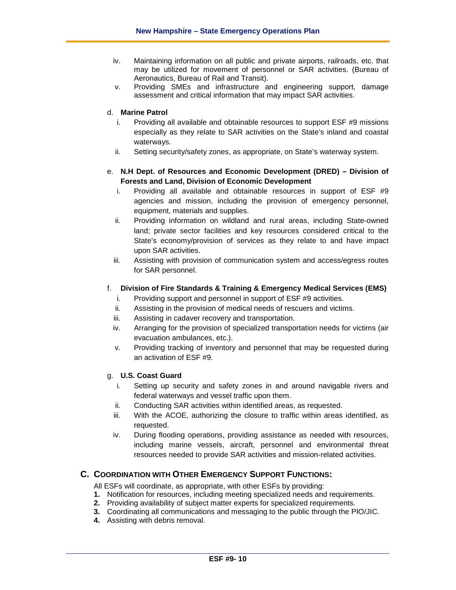- iv. Maintaining information on all public and private airports, railroads, etc. that may be utilized for movement of personnel or SAR activities. (Bureau of Aeronautics, Bureau of Rail and Transit).
- v. Providing SMEs and infrastructure and engineering support, damage assessment and critical information that may impact SAR activities.

#### d. **Marine Patrol**

- i. Providing all available and obtainable resources to support ESF #9 missions especially as they relate to SAR activities on the State's inland and coastal waterways.
- ii. Setting security/safety zones, as appropriate, on State's waterway system.

### e. **N.H Dept. of Resources and Economic Development (DRED) – Division of Forests and Land, Division of Economic Development**

- i. Providing all available and obtainable resources in support of ESF #9 agencies and mission, including the provision of emergency personnel, equipment, materials and supplies.
- ii. Providing information on wildland and rural areas, including State-owned land; private sector facilities and key resources considered critical to the State's economy/provision of services as they relate to and have impact upon SAR activities.
- iii. Assisting with provision of communication system and access/egress routes for SAR personnel.

#### f. **Division of Fire Standards & Training & Emergency Medical Services (EMS)**

- i. Providing support and personnel in support of ESF #9 activities.
- ii. Assisting in the provision of medical needs of rescuers and victims.
- iii. Assisting in cadaver recovery and transportation.
- iv. Arranging for the provision of specialized transportation needs for victims (air evacuation ambulances, etc.).
- v. Providing tracking of inventory and personnel that may be requested during an activation of ESF #9.

#### g. **U.S. Coast Guard**

- i. Setting up security and safety zones in and around navigable rivers and federal waterways and vessel traffic upon them.
- ii. Conducting SAR activities within identified areas, as requested.
- iii. With the ACOE, authorizing the closure to traffic within areas identified, as requested.
- iv. During flooding operations, providing assistance as needed with resources, including marine vessels, aircraft, personnel and environmental threat resources needed to provide SAR activities and mission-related activities.

# **C. COORDINATION WITH OTHER EMERGENCY SUPPORT FUNCTIONS:**

All ESFs will coordinate, as appropriate, with other ESFs by providing:

- **1.** Notification for resources, including meeting specialized needs and requirements.
- **2.** Providing availability of subject matter experts for specialized requirements.
- **3.** Coordinating all communications and messaging to the public through the PIO/JIC.
- **4.** Assisting with debris removal.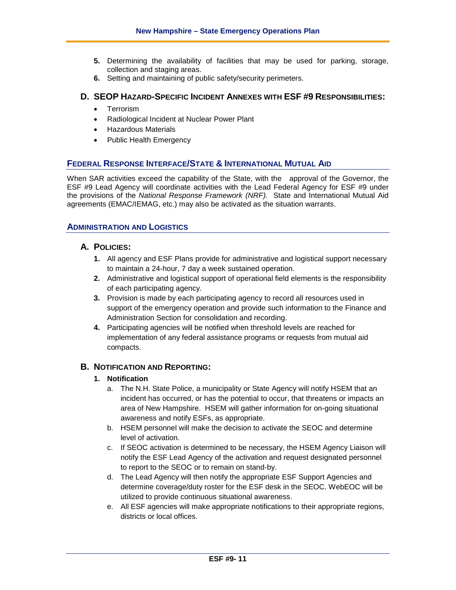- **5.** Determining the availability of facilities that may be used for parking, storage, collection and staging areas.
- **6.** Setting and maintaining of public safety/security perimeters.

# **D. SEOP HAZARD-SPECIFIC INCIDENT ANNEXES WITH ESF #9 RESPONSIBILITIES:**

- Terrorism
- Radiological Incident at Nuclear Power Plant
- Hazardous Materials
- Public Health Emergency

# **FEDERAL RESPONSE INTERFACE/STATE & INTERNATIONAL MUTUAL AID**

When SAR activities exceed the capability of the State, with the approval of the Governor, the ESF #9 Lead Agency will coordinate activities with the Lead Federal Agency for ESF #9 under the provisions of the *National Response Framework (NRF).* State and International Mutual Aid agreements (EMAC/IEMAG, etc.) may also be activated as the situation warrants.

### **ADMINISTRATION AND LOGISTICS**

### **A. POLICIES:**

- **1.** All agency and ESF Plans provide for administrative and logistical support necessary to maintain a 24-hour, 7 day a week sustained operation.
- **2.** Administrative and logistical support of operational field elements is the responsibility of each participating agency.
- **3.** Provision is made by each participating agency to record all resources used in support of the emergency operation and provide such information to the Finance and Administration Section for consolidation and recording.
- **4.** Participating agencies will be notified when threshold levels are reached for implementation of any federal assistance programs or requests from mutual aid compacts.

### **B. NOTIFICATION AND REPORTING:**

### **1. Notification**

- a. The N.H. State Police, a municipality or State Agency will notify HSEM that an incident has occurred, or has the potential to occur, that threatens or impacts an area of New Hampshire. HSEM will gather information for on-going situational awareness and notify ESFs, as appropriate.
- b. HSEM personnel will make the decision to activate the SEOC and determine level of activation.
- c. If SEOC activation is determined to be necessary, the HSEM Agency Liaison will notify the ESF Lead Agency of the activation and request designated personnel to report to the SEOC or to remain on stand-by.
- d. The Lead Agency will then notify the appropriate ESF Support Agencies and determine coverage/duty roster for the ESF desk in the SEOC. WebEOC will be utilized to provide continuous situational awareness.
- e. All ESF agencies will make appropriate notifications to their appropriate regions, districts or local offices.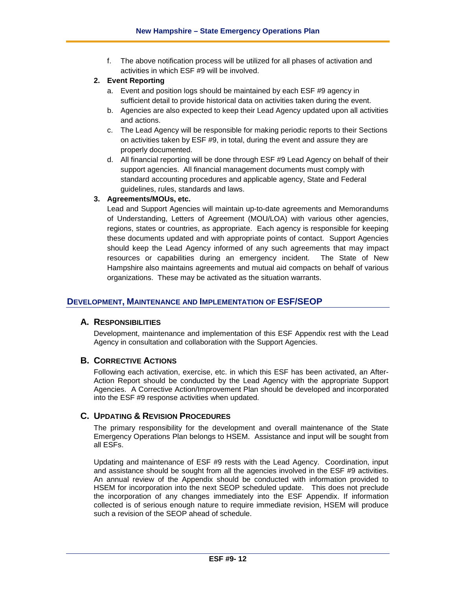f. The above notification process will be utilized for all phases of activation and activities in which ESF #9 will be involved.

#### **2. Event Reporting**

- a. Event and position logs should be maintained by each ESF #9 agency in sufficient detail to provide historical data on activities taken during the event.
- b. Agencies are also expected to keep their Lead Agency updated upon all activities and actions.
- c. The Lead Agency will be responsible for making periodic reports to their Sections on activities taken by ESF #9, in total, during the event and assure they are properly documented.
- d. All financial reporting will be done through ESF #9 Lead Agency on behalf of their support agencies. All financial management documents must comply with standard accounting procedures and applicable agency, State and Federal guidelines, rules, standards and laws.

### **3. Agreements/MOUs, etc.**

Lead and Support Agencies will maintain up-to-date agreements and Memorandums of Understanding, Letters of Agreement (MOU/LOA) with various other agencies, regions, states or countries, as appropriate. Each agency is responsible for keeping these documents updated and with appropriate points of contact. Support Agencies should keep the Lead Agency informed of any such agreements that may impact resources or capabilities during an emergency incident. The State of New Hampshire also maintains agreements and mutual aid compacts on behalf of various organizations. These may be activated as the situation warrants.

### **DEVELOPMENT, MAINTENANCE AND IMPLEMENTATION OF ESF/SEOP**

## **A. RESPONSIBILITIES**

Development, maintenance and implementation of this ESF Appendix rest with the Lead Agency in consultation and collaboration with the Support Agencies.

## **B. CORRECTIVE ACTIONS**

Following each activation, exercise, etc. in which this ESF has been activated, an After-Action Report should be conducted by the Lead Agency with the appropriate Support Agencies. A Corrective Action/Improvement Plan should be developed and incorporated into the ESF #9 response activities when updated.

### **C. UPDATING & REVISION PROCEDURES**

The primary responsibility for the development and overall maintenance of the State Emergency Operations Plan belongs to HSEM. Assistance and input will be sought from all ESFs.

Updating and maintenance of ESF #9 rests with the Lead Agency. Coordination, input and assistance should be sought from all the agencies involved in the ESF #9 activities. An annual review of the Appendix should be conducted with information provided to HSEM for incorporation into the next SEOP scheduled update. This does not preclude the incorporation of any changes immediately into the ESF Appendix. If information collected is of serious enough nature to require immediate revision, HSEM will produce such a revision of the SEOP ahead of schedule.